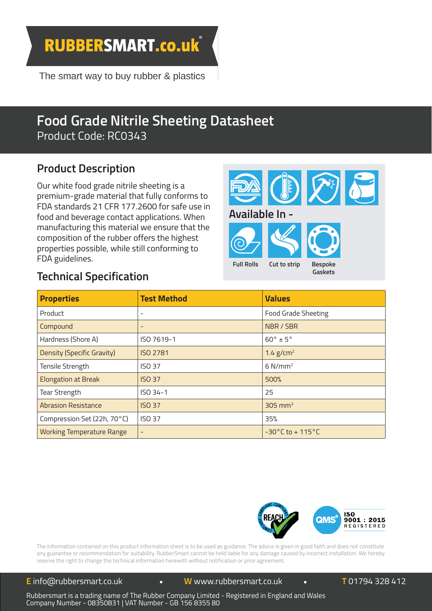**RUBBERSMART.co.uk** 

The smart way to buy rubber & plastics

# **Product Description**



### **Technical Specification**

| <b>Product Description</b><br>Our white food grade nitrile sheeting is a<br>premium-grade material that fully conforms to<br>FDA standards 21 CFR 177.2600 for safe use in<br>food and beverage contact applications. When<br>manufacturing this material we ensure that the<br>composition of the rubber offers the highest<br>properties possible, while still conforming to<br>FDA guidelines.<br><b>Technical Specification</b> |                    | Available In -<br><b>Full Rolls</b> | Cut to strip                          | <b>Bespoke</b><br>Gaskets |
|-------------------------------------------------------------------------------------------------------------------------------------------------------------------------------------------------------------------------------------------------------------------------------------------------------------------------------------------------------------------------------------------------------------------------------------|--------------------|-------------------------------------|---------------------------------------|---------------------------|
| <b>Properties</b>                                                                                                                                                                                                                                                                                                                                                                                                                   | <b>Test Method</b> |                                     | <b>Values</b>                         |                           |
| Product                                                                                                                                                                                                                                                                                                                                                                                                                             |                    |                                     | <b>Food Grade Sheeting</b>            |                           |
| Compound                                                                                                                                                                                                                                                                                                                                                                                                                            | $\overline{a}$     |                                     | NBR / SBR                             |                           |
| Hardness (Shore A)                                                                                                                                                                                                                                                                                                                                                                                                                  | ISO 7619-1         |                                     | $60^\circ \pm 5^\circ$                |                           |
| Density (Specific Gravity)                                                                                                                                                                                                                                                                                                                                                                                                          | <b>ISO 2781</b>    |                                     | $1.4$ g/cm <sup>2</sup>               |                           |
| Tensile Strength                                                                                                                                                                                                                                                                                                                                                                                                                    | <b>ISO 37</b>      |                                     | $6$ N/mm <sup>2</sup>                 |                           |
| <b>Elongation at Break</b>                                                                                                                                                                                                                                                                                                                                                                                                          | <b>ISO 37</b>      |                                     | 500%                                  |                           |
| <b>Tear Strength</b>                                                                                                                                                                                                                                                                                                                                                                                                                | ISO 34-1           |                                     | 25                                    |                           |
| <b>Abrasion Resistance</b>                                                                                                                                                                                                                                                                                                                                                                                                          | <b>ISO 37</b>      |                                     | $305$ mm <sup>3</sup>                 |                           |
| Compression Set (22h, 70°C)                                                                                                                                                                                                                                                                                                                                                                                                         | <b>ISO 37</b>      |                                     | 35%                                   |                           |
| <b>Working Temperature Range</b>                                                                                                                                                                                                                                                                                                                                                                                                    |                    |                                     | $-30^{\circ}$ C to + 115 $^{\circ}$ C |                           |
|                                                                                                                                                                                                                                                                                                                                                                                                                                     |                    |                                     |                                       |                           |



Rubbersmart is a trading name of The Rubber Company Limited Rubbersmart is a trading name of The Rubber Company Limited<br>Company Number - 08350831 | VAT Number - GB 156 8355 80 Company Number - | VAT Number - GB 156 8355 80**E** sales@therubbercompany.com www.therubbercompany.com **<sup>T</sup>** +44 (0) 1794 513 184 **<sup>E</sup>** sales@therubbercompany.com**W** (0) 1794 Wales www.therubbercompany.com**T** - Registered sales@therubbercompany.com www.therubbercompany.com 1794 513 184The Rubber Company Limited - Registered in England and WalesCompany Number - 08350831 | VAT Number - GB 156 8355 80Rubbersmart is a trading name of The Rubber Company Limited - Registered in England and Wales